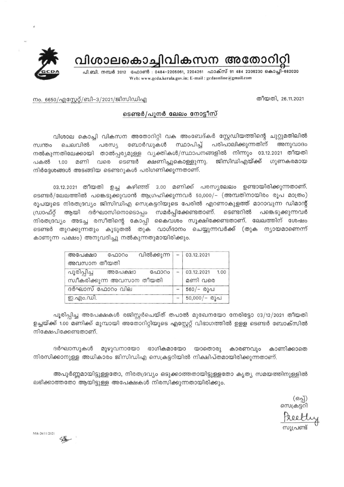

വിശാലകൊച്ചിവികസന അതോറിറ്റി

പി.ബി. നമ്പർ 2012 ഫോൺ : 0484-2205061, 2204261 ഫാക്സ് 91 484 2206230 കൊച്ചി-682020 Web: www.gcda.kerala.gov.in; E-mail : gcdaonline@gmail.com

തീയതി, 26.11.2021

## നം. 6650/എസ്റ്റേറ്റ്/ബി–3/2021/ജിസിഡിഎ

## ടെണ്ടർ/പുനർ ലേലം നോട്ടീസ്

വിശാല കൊച്ചി വികസന അതോറിറ്റി വക അംബേദ്കർ സ്റ്റേഡിയത്തിന്റെ ചുറ്റുമതിലിൽ പരസ്യ സ്ഥാപിച്ച് പരിപാലിക്കുന്നതിന് ബോർഡുകൾ അനുവാദം സ്വന്തം ചെലവിൽ നൽകുന്നതിലേക്കായി താൽപ്പര്യമുള്ള വ്യക്തികൾ/സ്ഥാപനങ്ങളിൽ നിന്നും 03.12.2021 തീയതി ക്ഷണിച്ചുകൊള്ളുന്നു. ജിസിഡിഎയ്ക്ക് ഗുണകരമായ വരെ ടെണ്ടർ 1.00 മണി പകൽ നിർദ്ദേശങ്ങൾ അടങ്ങിയ ടെണ്ടറുകൾ പരിഗണിക്കുന്നതാണ്.

03.12.2021 തീയതി ഉച്ച കഴിഞ്ഞ് 3.00 മണിക്ക് പരസ്യലേലം ഉണ്ടായിരിക്കുന്നതാണ്. ടെണ്ടർ/ലേലത്തിൽ പങ്കെടുക്കുവാൻ ആഗ്രഹിക്കുന്നവർ 50,000/- (അമ്പതിനായിരം രൂപ മാത്രം) രൂപയുടെ നിരതദ്രവ്യം ജിസിഡിഎ സെക്രട്ടറിയുടെ പേരിൽ എറണാകുളത്ത് മാറാവുന്ന ഡിമാന്റ് സമർപ്പിക്കേണ്ടതാണ്. ആയി ദർഘാസിനൊടൊപ്പം ടെണ്ടറിൽ പങ്കെടുക്കുന്നവർ ഡ്രാഫ്റ്റ് നിരതദ്രവ്യം അടച്ച രസീതിന്റെ കോപ്പി കൈവശം സൂക്ഷിക്കേണ്ടതാണ്. ലേലത്തിന് ശേഷം ടെണ്ടർ തുറക്കുന്നതും കൂടുതൽ തുക വാഗ്ദാനം ചെയ്യുന്നവർക്ക് (തുക ന്യായമാണെന്ന് കാണുന്ന പക്ഷം) അനുവദിച്ചു നൽകുന്നതുമായിരിക്കും.

| അപേക്ഷാ                                       | ഫോറം | വിൽക്കുന്ന | $-$ 03.12.2021             |
|-----------------------------------------------|------|------------|----------------------------|
| അവസാന തീയതി                                   |      |            |                            |
| പൂരിപ്പിച്ച അപേക്ഷാ                           |      | ഫോറം       | 03.12.2021 1.00<br>മണി വരെ |
| സ്ഥീകരിക്കുന്ന അവസാന തീയതി<br>ദർഘാസ് ഫോറം വില |      |            | 560/- രൂപ                  |
| ഇ.എം.ഡി.                                      |      |            | $50,000/-$ 0)~             |

പൂരിപ്പിച്ച അപേക്ഷകൾ രജിസ്റ്റർചെയ്ത് തപാൽ മുഖേനയോ നേരിട്ടോ 03/12/2021 തീയതി ഉച്ചയ്ക്ക് 1.00 മണിക്ക് മുമ്പായി അതോറിറ്റിയുടെ എസ്റ്റേറ്റ് വിഭാഗത്തിൽ ഉളള ടെണ്ടർ ബോക്സിൽ നിക്ഷേപിക്കേണ്ടതാണ്.

ദർഘാസുകൾ മുഴുവനായോ ഭാഗികമായോ യാതൊരു കാരണവും കാണിക്കാതെ നിരസിക്കാനുള്ള അധികാരം ജിസിഡിഎ സെക്രട്ടറിയിൽ നിക്ഷിപ്തമായിരിക്കുന്നതാണ്.

അപൂർണ്ണമായിട്ടുള്ളതോ, നിരതദ്രവ്യം ഒടുക്കാത്തതായിട്ടുള്ളതോ കൃത്യ സമയത്തിനുള്ളിൽ ലഭിക്കാത്തതോ ആയിട്ടുള്ള അപേക്ഷകൾ നിരസിക്കുന്നതായിരിക്കും.

(ഒപ്പ്)<br>തെക്രട്ടറി സുപ്രണ്ട്

Mtk-26/11/2021

Solo